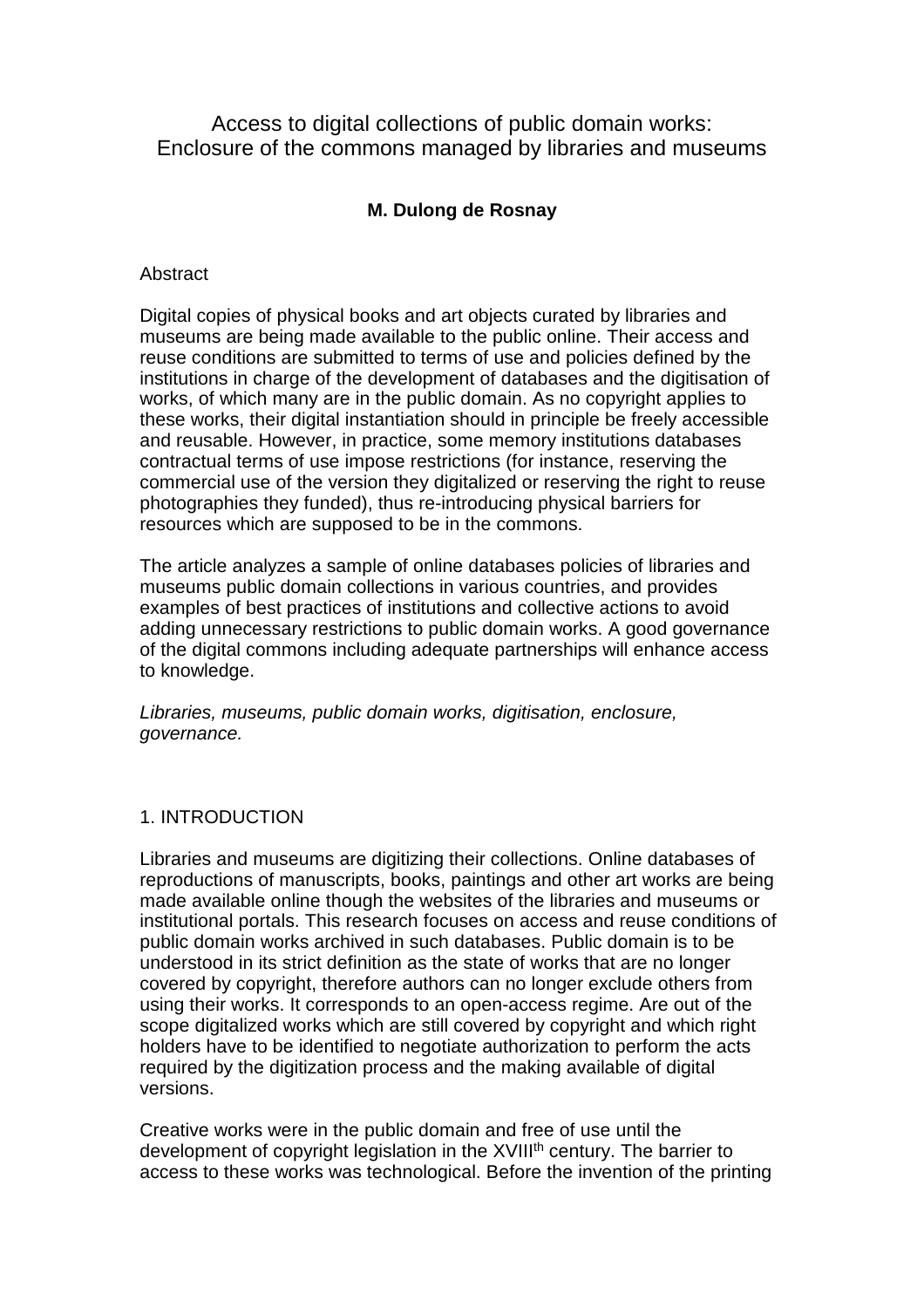Access to digital collections of public domain works: Enclosure of the commons managed by libraries and museums

# **M. Dulong de Rosnay**

### **Abstract**

Digital copies of physical books and art objects curated by libraries and museums are being made available to the public online. Their access and reuse conditions are submitted to terms of use and policies defined by the institutions in charge of the development of databases and the digitisation of works, of which many are in the public domain. As no copyright applies to these works, their digital instantiation should in principle be freely accessible and reusable. However, in practice, some memory institutions databases contractual terms of use impose restrictions (for instance, reserving the commercial use of the version they digitalized or reserving the right to reuse photographies they funded), thus re-introducing physical barriers for resources which are supposed to be in the commons.

The article analyzes a sample of online databases policies of libraries and museums public domain collections in various countries, and provides examples of best practices of institutions and collective actions to avoid adding unnecessary restrictions to public domain works. A good governance of the digital commons including adequate partnerships will enhance access to knowledge.

Libraries, museums, public domain works, digitisation, enclosure, governance.

## 1. INTRODUCTION

Libraries and museums are digitizing their collections. Online databases of reproductions of manuscripts, books, paintings and other art works are being made available online though the websites of the libraries and museums or institutional portals. This research focuses on access and reuse conditions of public domain works archived in such databases. Public domain is to be understood in its strict definition as the state of works that are no longer covered by copyright, therefore authors can no longer exclude others from using their works. It corresponds to an open-access regime. Are out of the scope digitalized works which are still covered by copyright and which right holders have to be identified to negotiate authorization to perform the acts required by the digitization process and the making available of digital versions.

Creative works were in the public domain and free of use until the development of copyright legislation in the XVIII<sup>th</sup> century. The barrier to access to these works was technological. Before the invention of the printing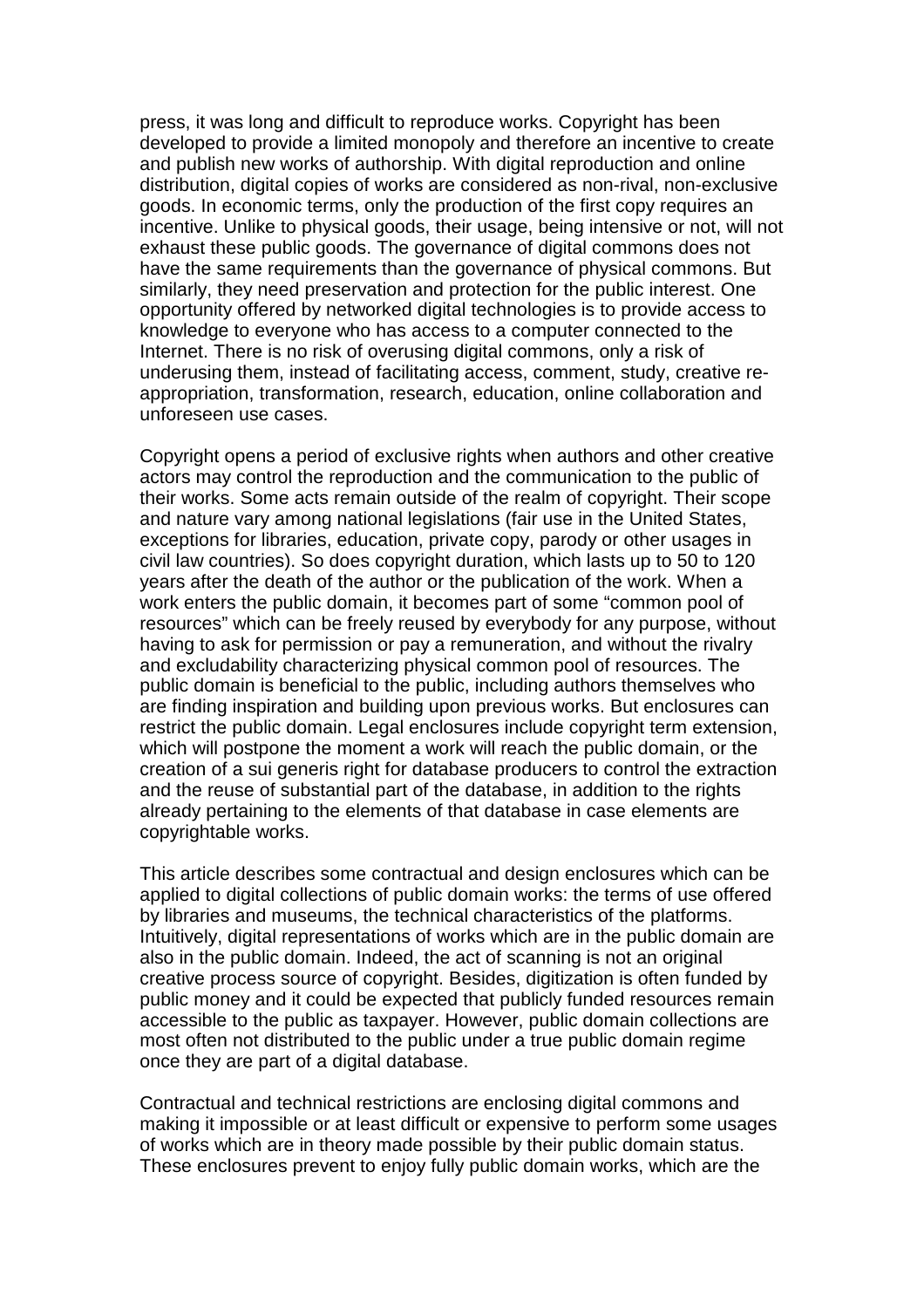press, it was long and difficult to reproduce works. Copyright has been developed to provide a limited monopoly and therefore an incentive to create and publish new works of authorship. With digital reproduction and online distribution, digital copies of works are considered as non-rival, non-exclusive goods. In economic terms, only the production of the first copy requires an incentive. Unlike to physical goods, their usage, being intensive or not, will not exhaust these public goods. The governance of digital commons does not have the same requirements than the governance of physical commons. But similarly, they need preservation and protection for the public interest. One opportunity offered by networked digital technologies is to provide access to knowledge to everyone who has access to a computer connected to the Internet. There is no risk of overusing digital commons, only a risk of underusing them, instead of facilitating access, comment, study, creative reappropriation, transformation, research, education, online collaboration and unforeseen use cases.

Copyright opens a period of exclusive rights when authors and other creative actors may control the reproduction and the communication to the public of their works. Some acts remain outside of the realm of copyright. Their scope and nature vary among national legislations (fair use in the United States, exceptions for libraries, education, private copy, parody or other usages in civil law countries). So does copyright duration, which lasts up to 50 to 120 years after the death of the author or the publication of the work. When a work enters the public domain, it becomes part of some "common pool of resources" which can be freely reused by everybody for any purpose, without having to ask for permission or pay a remuneration, and without the rivalry and excludability characterizing physical common pool of resources. The public domain is beneficial to the public, including authors themselves who are finding inspiration and building upon previous works. But enclosures can restrict the public domain. Legal enclosures include copyright term extension, which will postpone the moment a work will reach the public domain, or the creation of a sui generis right for database producers to control the extraction and the reuse of substantial part of the database, in addition to the rights already pertaining to the elements of that database in case elements are copyrightable works.

This article describes some contractual and design enclosures which can be applied to digital collections of public domain works: the terms of use offered by libraries and museums, the technical characteristics of the platforms. Intuitively, digital representations of works which are in the public domain are also in the public domain. Indeed, the act of scanning is not an original creative process source of copyright. Besides, digitization is often funded by public money and it could be expected that publicly funded resources remain accessible to the public as taxpayer. However, public domain collections are most often not distributed to the public under a true public domain regime once they are part of a digital database.

Contractual and technical restrictions are enclosing digital commons and making it impossible or at least difficult or expensive to perform some usages of works which are in theory made possible by their public domain status. These enclosures prevent to enjoy fully public domain works, which are the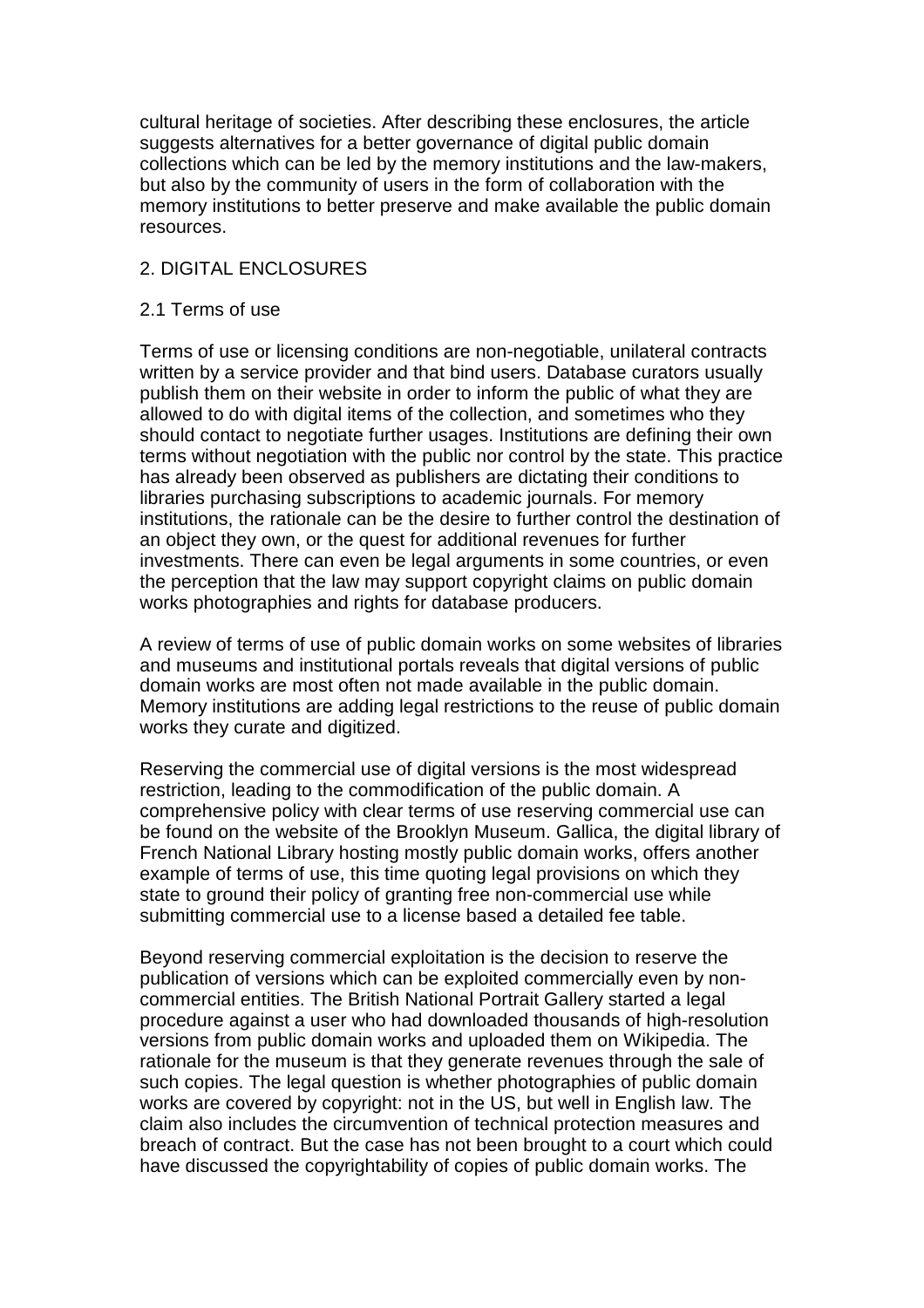cultural heritage of societies. After describing these enclosures, the article suggests alternatives for a better governance of digital public domain collections which can be led by the memory institutions and the law-makers, but also by the community of users in the form of collaboration with the memory institutions to better preserve and make available the public domain resources.

### 2. DIGITAL ENCLOSURES

### 2.1 Terms of use

Terms of use or licensing conditions are non-negotiable, unilateral contracts written by a service provider and that bind users. Database curators usually publish them on their website in order to inform the public of what they are allowed to do with digital items of the collection, and sometimes who they should contact to negotiate further usages. Institutions are defining their own terms without negotiation with the public nor control by the state. This practice has already been observed as publishers are dictating their conditions to libraries purchasing subscriptions to academic journals. For memory institutions, the rationale can be the desire to further control the destination of an object they own, or the quest for additional revenues for further investments. There can even be legal arguments in some countries, or even the perception that the law may support copyright claims on public domain works photographies and rights for database producers.

A review of terms of use of public domain works on some websites of libraries and museums and institutional portals reveals that digital versions of public domain works are most often not made available in the public domain. Memory institutions are adding legal restrictions to the reuse of public domain works they curate and digitized.

Reserving the commercial use of digital versions is the most widespread restriction, leading to the commodification of the public domain. A comprehensive policy with clear terms of use reserving commercial use can be found on the website of the Brooklyn Museum. Gallica, the digital library of French National Library hosting mostly public domain works, offers another example of terms of use, this time quoting legal provisions on which they state to ground their policy of granting free non-commercial use while submitting commercial use to a license based a detailed fee table.

Beyond reserving commercial exploitation is the decision to reserve the publication of versions which can be exploited commercially even by noncommercial entities. The British National Portrait Gallery started a legal procedure against a user who had downloaded thousands of high-resolution versions from public domain works and uploaded them on Wikipedia. The rationale for the museum is that they generate revenues through the sale of such copies. The legal question is whether photographies of public domain works are covered by copyright: not in the US, but well in English law. The claim also includes the circumvention of technical protection measures and breach of contract. But the case has not been brought to a court which could have discussed the copyrightability of copies of public domain works. The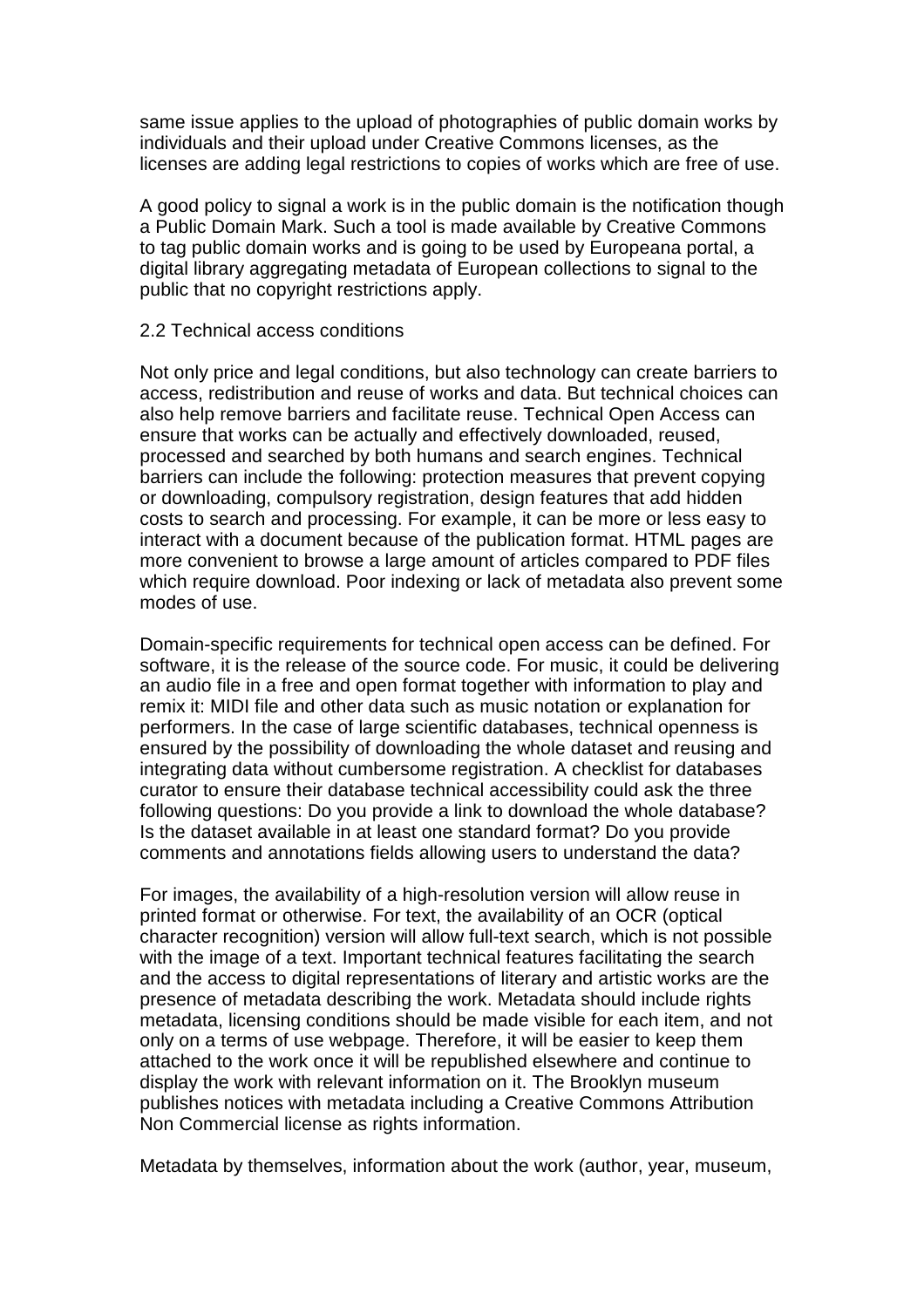same issue applies to the upload of photographies of public domain works by individuals and their upload under Creative Commons licenses, as the licenses are adding legal restrictions to copies of works which are free of use.

A good policy to signal a work is in the public domain is the notification though a Public Domain Mark. Such a tool is made available by Creative Commons to tag public domain works and is going to be used by Europeana portal, a digital library aggregating metadata of European collections to signal to the public that no copyright restrictions apply.

### 2.2 Technical access conditions

Not only price and legal conditions, but also technology can create barriers to access, redistribution and reuse of works and data. But technical choices can also help remove barriers and facilitate reuse. Technical Open Access can ensure that works can be actually and effectively downloaded, reused, processed and searched by both humans and search engines. Technical barriers can include the following: protection measures that prevent copying or downloading, compulsory registration, design features that add hidden costs to search and processing. For example, it can be more or less easy to interact with a document because of the publication format. HTML pages are more convenient to browse a large amount of articles compared to PDF files which require download. Poor indexing or lack of metadata also prevent some modes of use.

Domain-specific requirements for technical open access can be defined. For software, it is the release of the source code. For music, it could be delivering an audio file in a free and open format together with information to play and remix it: MIDI file and other data such as music notation or explanation for performers. In the case of large scientific databases, technical openness is ensured by the possibility of downloading the whole dataset and reusing and integrating data without cumbersome registration. A checklist for databases curator to ensure their database technical accessibility could ask the three following questions: Do you provide a link to download the whole database? Is the dataset available in at least one standard format? Do you provide comments and annotations fields allowing users to understand the data?

For images, the availability of a high-resolution version will allow reuse in printed format or otherwise. For text, the availability of an OCR (optical character recognition) version will allow full-text search, which is not possible with the image of a text. Important technical features facilitating the search and the access to digital representations of literary and artistic works are the presence of metadata describing the work. Metadata should include rights metadata, licensing conditions should be made visible for each item, and not only on a terms of use webpage. Therefore, it will be easier to keep them attached to the work once it will be republished elsewhere and continue to display the work with relevant information on it. The Brooklyn museum publishes notices with metadata including a Creative Commons Attribution Non Commercial license as rights information.

Metadata by themselves, information about the work (author, year, museum,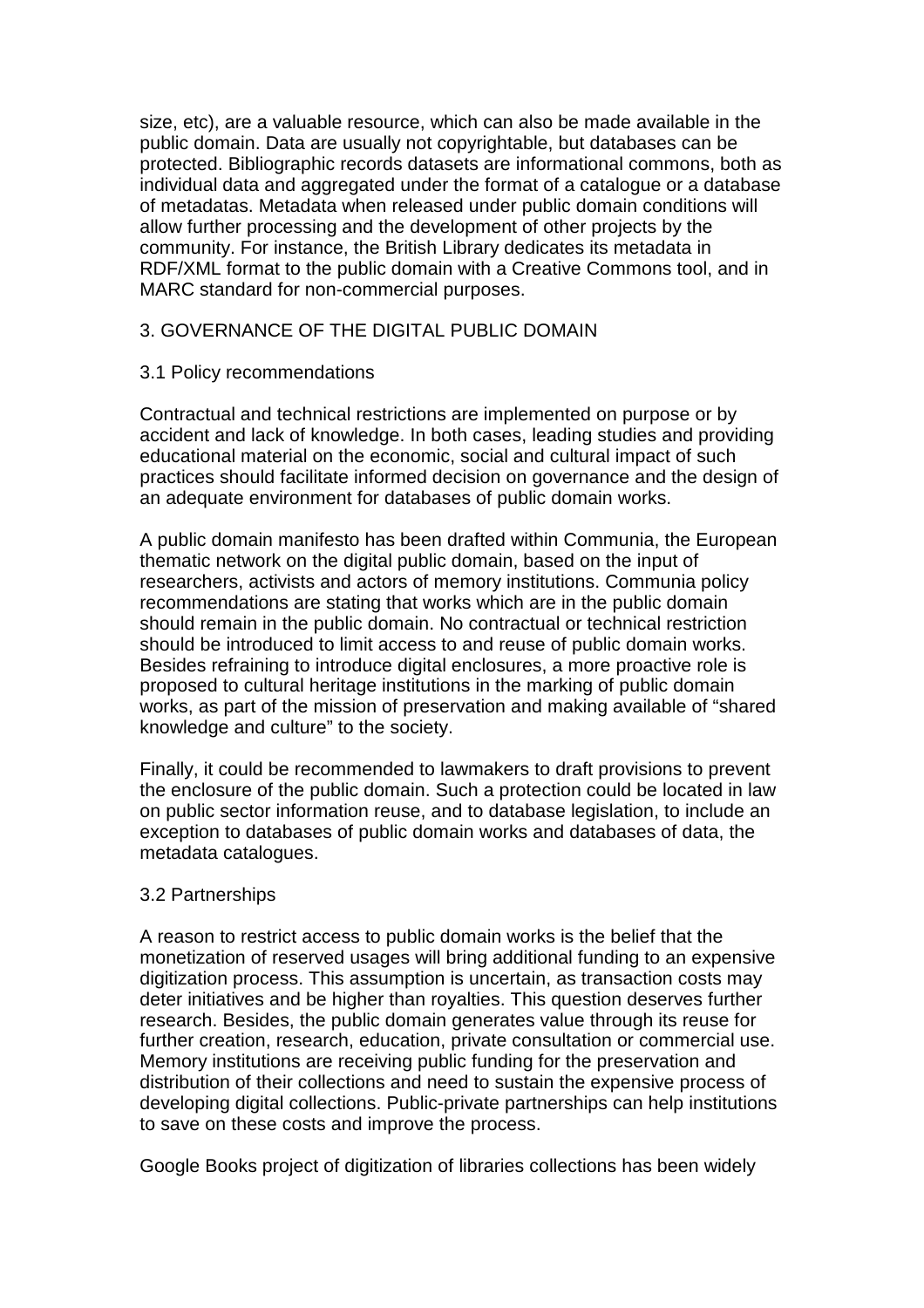size, etc), are a valuable resource, which can also be made available in the public domain. Data are usually not copyrightable, but databases can be protected. Bibliographic records datasets are informational commons, both as individual data and aggregated under the format of a catalogue or a database of metadatas. Metadata when released under public domain conditions will allow further processing and the development of other projects by the community. For instance, the British Library dedicates its metadata in RDF/XML format to the public domain with a Creative Commons tool, and in MARC standard for non-commercial purposes.

## 3. GOVERNANCE OF THE DIGITAL PUBLIC DOMAIN

## 3.1 Policy recommendations

Contractual and technical restrictions are implemented on purpose or by accident and lack of knowledge. In both cases, leading studies and providing educational material on the economic, social and cultural impact of such practices should facilitate informed decision on governance and the design of an adequate environment for databases of public domain works.

A public domain manifesto has been drafted within Communia, the European thematic network on the digital public domain, based on the input of researchers, activists and actors of memory institutions. Communia policy recommendations are stating that works which are in the public domain should remain in the public domain. No contractual or technical restriction should be introduced to limit access to and reuse of public domain works. Besides refraining to introduce digital enclosures, a more proactive role is proposed to cultural heritage institutions in the marking of public domain works, as part of the mission of preservation and making available of "shared knowledge and culture" to the society.

Finally, it could be recommended to lawmakers to draft provisions to prevent the enclosure of the public domain. Such a protection could be located in law on public sector information reuse, and to database legislation, to include an exception to databases of public domain works and databases of data, the metadata catalogues.

#### 3.2 Partnerships

A reason to restrict access to public domain works is the belief that the monetization of reserved usages will bring additional funding to an expensive digitization process. This assumption is uncertain, as transaction costs may deter initiatives and be higher than royalties. This question deserves further research. Besides, the public domain generates value through its reuse for further creation, research, education, private consultation or commercial use. Memory institutions are receiving public funding for the preservation and distribution of their collections and need to sustain the expensive process of developing digital collections. Public-private partnerships can help institutions to save on these costs and improve the process.

Google Books project of digitization of libraries collections has been widely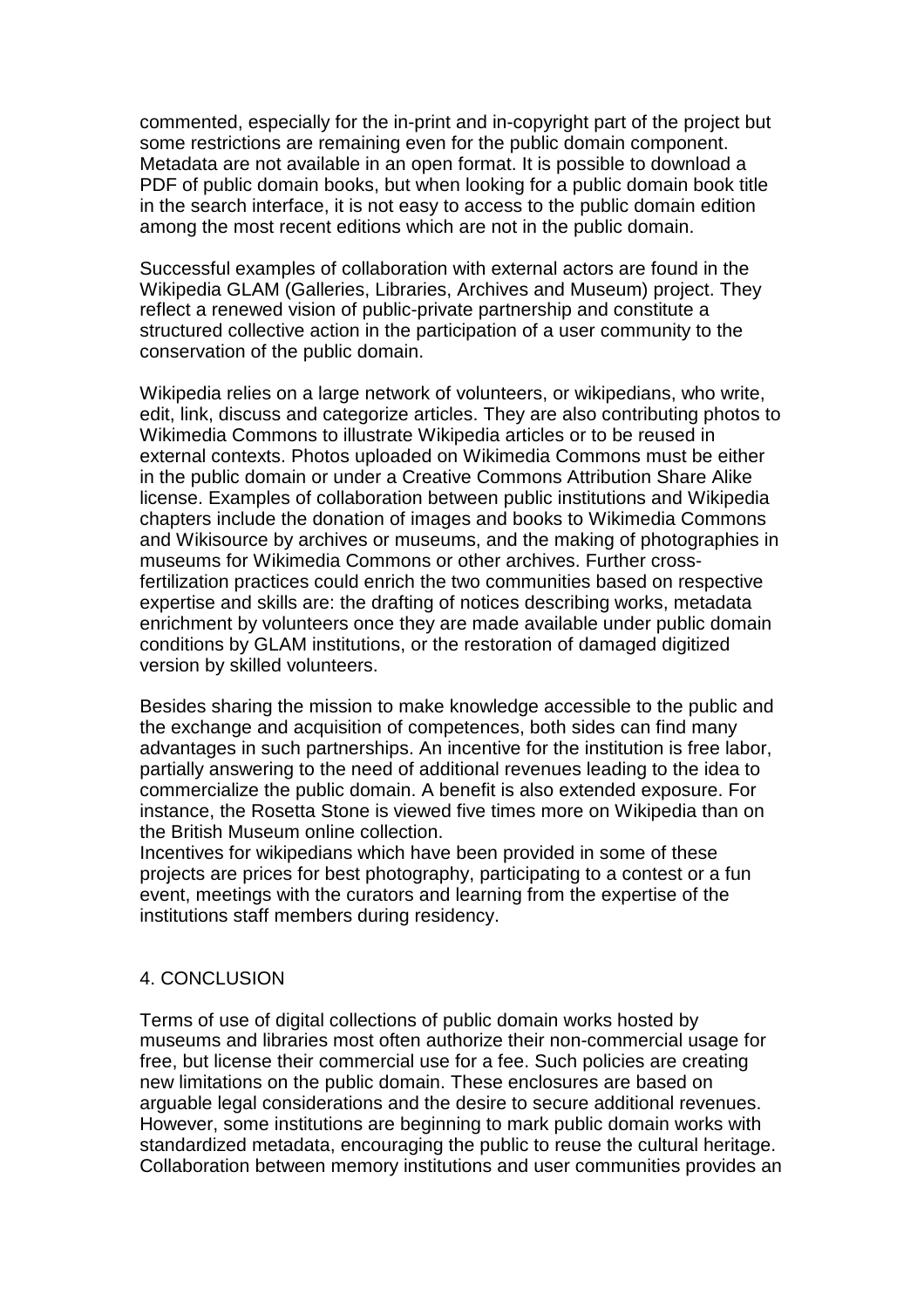commented, especially for the in-print and in-copyright part of the project but some restrictions are remaining even for the public domain component. Metadata are not available in an open format. It is possible to download a PDF of public domain books, but when looking for a public domain book title in the search interface, it is not easy to access to the public domain edition among the most recent editions which are not in the public domain.

Successful examples of collaboration with external actors are found in the Wikipedia GLAM (Galleries, Libraries, Archives and Museum) project. They reflect a renewed vision of public-private partnership and constitute a structured collective action in the participation of a user community to the conservation of the public domain.

Wikipedia relies on a large network of volunteers, or wikipedians, who write, edit, link, discuss and categorize articles. They are also contributing photos to Wikimedia Commons to illustrate Wikipedia articles or to be reused in external contexts. Photos uploaded on Wikimedia Commons must be either in the public domain or under a Creative Commons Attribution Share Alike license. Examples of collaboration between public institutions and Wikipedia chapters include the donation of images and books to Wikimedia Commons and Wikisource by archives or museums, and the making of photographies in museums for Wikimedia Commons or other archives. Further crossfertilization practices could enrich the two communities based on respective expertise and skills are: the drafting of notices describing works, metadata enrichment by volunteers once they are made available under public domain conditions by GLAM institutions, or the restoration of damaged digitized version by skilled volunteers.

Besides sharing the mission to make knowledge accessible to the public and the exchange and acquisition of competences, both sides can find many advantages in such partnerships. An incentive for the institution is free labor, partially answering to the need of additional revenues leading to the idea to commercialize the public domain. A benefit is also extended exposure. For instance, the Rosetta Stone is viewed five times more on Wikipedia than on the British Museum online collection.

Incentives for wikipedians which have been provided in some of these projects are prices for best photography, participating to a contest or a fun event, meetings with the curators and learning from the expertise of the institutions staff members during residency.

## 4. CONCLUSION

Terms of use of digital collections of public domain works hosted by museums and libraries most often authorize their non-commercial usage for free, but license their commercial use for a fee. Such policies are creating new limitations on the public domain. These enclosures are based on arguable legal considerations and the desire to secure additional revenues. However, some institutions are beginning to mark public domain works with standardized metadata, encouraging the public to reuse the cultural heritage. Collaboration between memory institutions and user communities provides an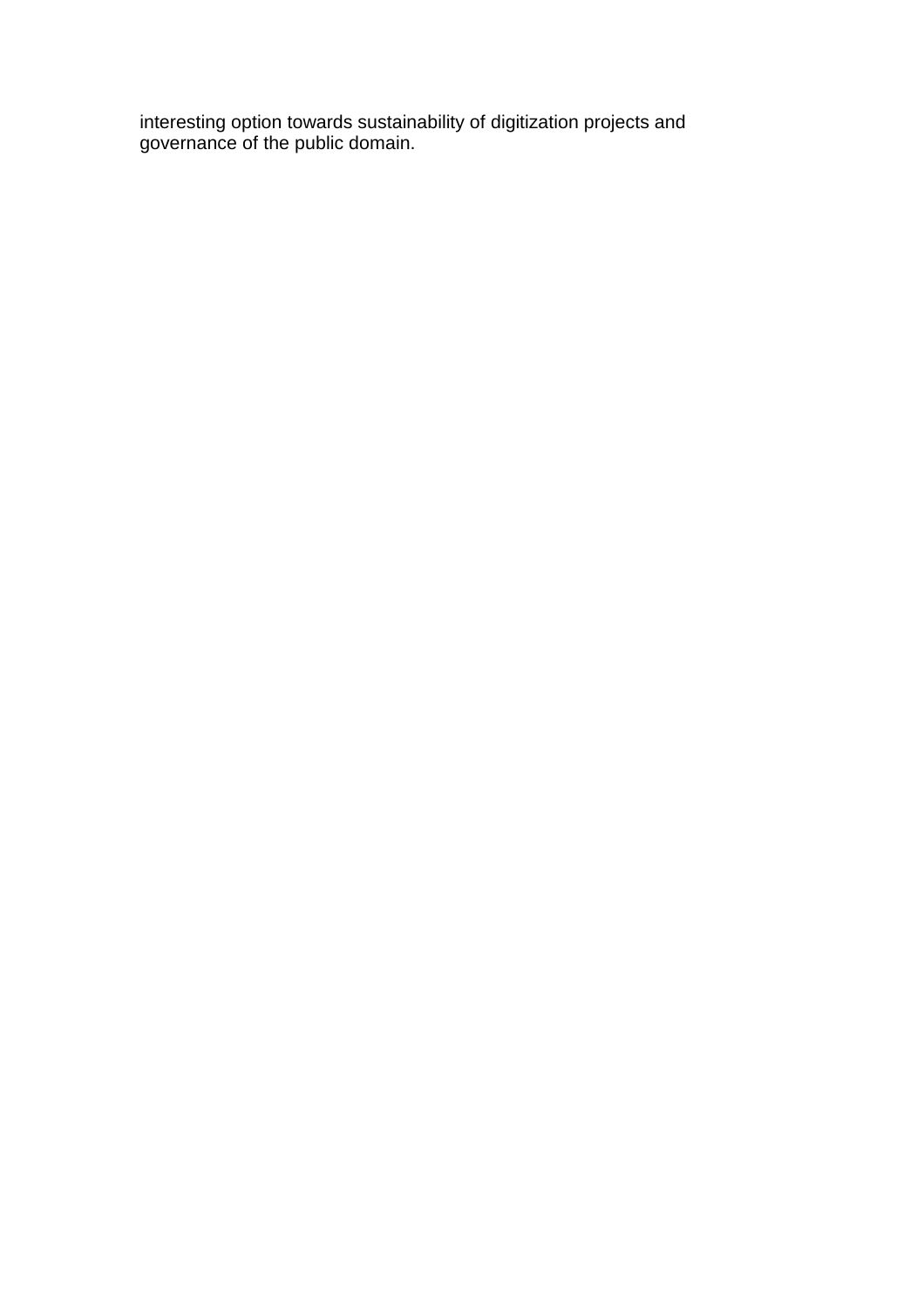interesting option towards sustainability of digitization projects and governance of the public domain.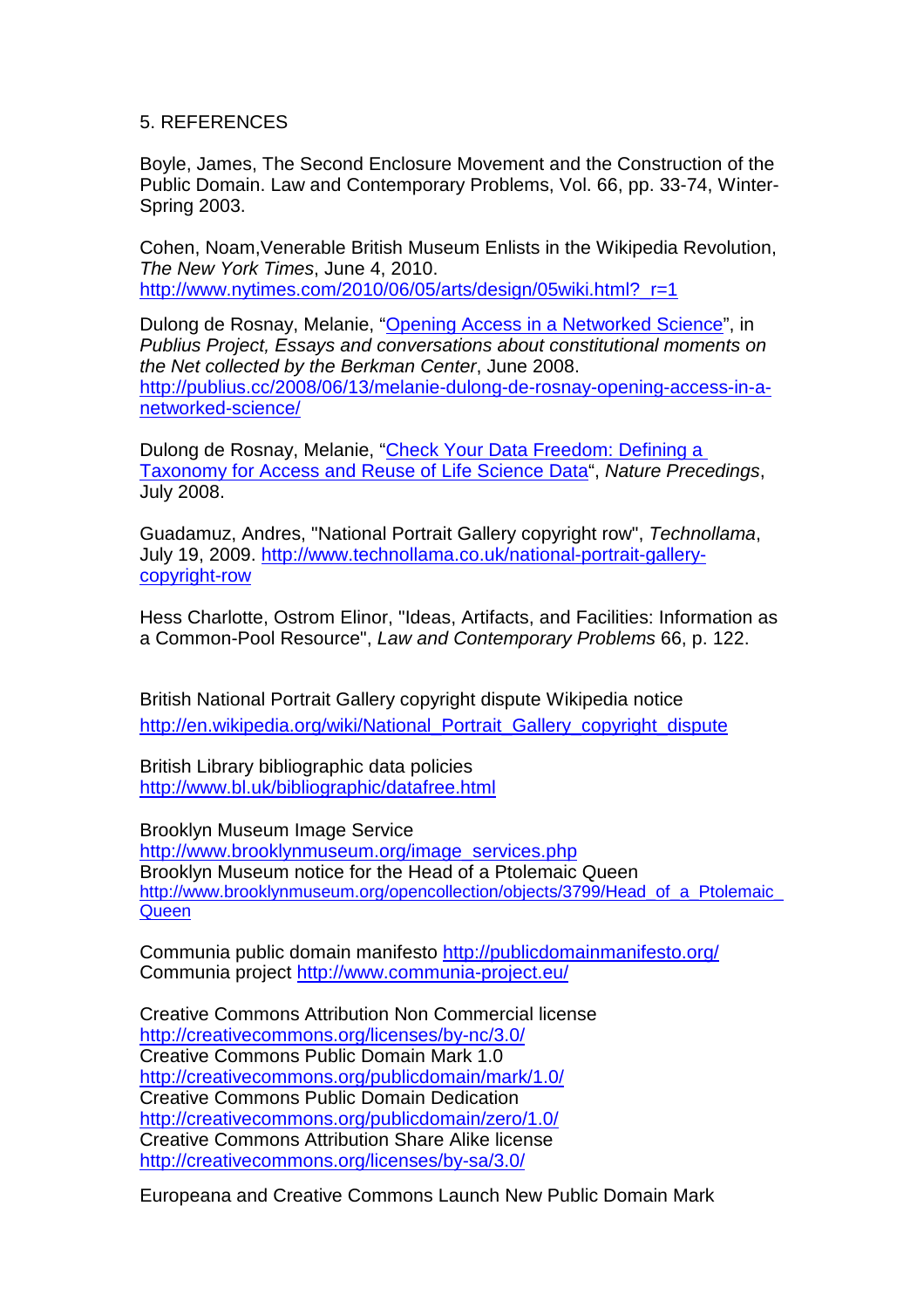## 5. REFERENCES

Boyle, James, The Second Enclosure Movement and the Construction of the Public Domain. Law and Contemporary Problems, Vol. 66, pp. 33-74, Winter-Spring 2003.

Cohen, Noam,Venerable British Museum Enlists in the Wikipedia Revolution, The New York Times, June 4, 2010. http://www.nytimes.com/2010/06/05/arts/design/05wiki.html?\_r=1

Dulong de Rosnay, Melanie, "Opening Access in a Networked Science", in Publius Project, Essays and conversations about constitutional moments on the Net collected by the Berkman Center, June 2008. http://publius.cc/2008/06/13/melanie-dulong-de-rosnay-opening-access-in-anetworked-science/

Dulong de Rosnay, Melanie, "Check Your Data Freedom: Defining a Taxonomy for Access and Reuse of Life Science Data", Nature Precedings, July 2008.

Guadamuz, Andres, "National Portrait Gallery copyright row", Technollama, July 19, 2009. http://www.technollama.co.uk/national-portrait-gallerycopyright-row

Hess Charlotte, Ostrom Elinor, "Ideas, Artifacts, and Facilities: Information as a Common-Pool Resource", Law and Contemporary Problems 66, p. 122.

British National Portrait Gallery copyright dispute Wikipedia notice http://en.wikipedia.org/wiki/National Portrait Gallery copyright dispute

British Library bibliographic data policies http://www.bl.uk/bibliographic/datafree.html

Brooklyn Museum Image Service http://www.brooklynmuseum.org/image\_services.php Brooklyn Museum notice for the Head of a Ptolemaic Queen http://www.brooklynmuseum.org/opencollection/objects/3799/Head\_of\_a\_Ptolemaic **Queen** 

Communia public domain manifesto http://publicdomainmanifesto.org/ Communia project http://www.communia-project.eu/

Creative Commons Attribution Non Commercial license http://creativecommons.org/licenses/by-nc/3.0/ Creative Commons Public Domain Mark 1.0 http://creativecommons.org/publicdomain/mark/1.0/ Creative Commons Public Domain Dedication http://creativecommons.org/publicdomain/zero/1.0/ Creative Commons Attribution Share Alike license http://creativecommons.org/licenses/by-sa/3.0/

Europeana and Creative Commons Launch New Public Domain Mark